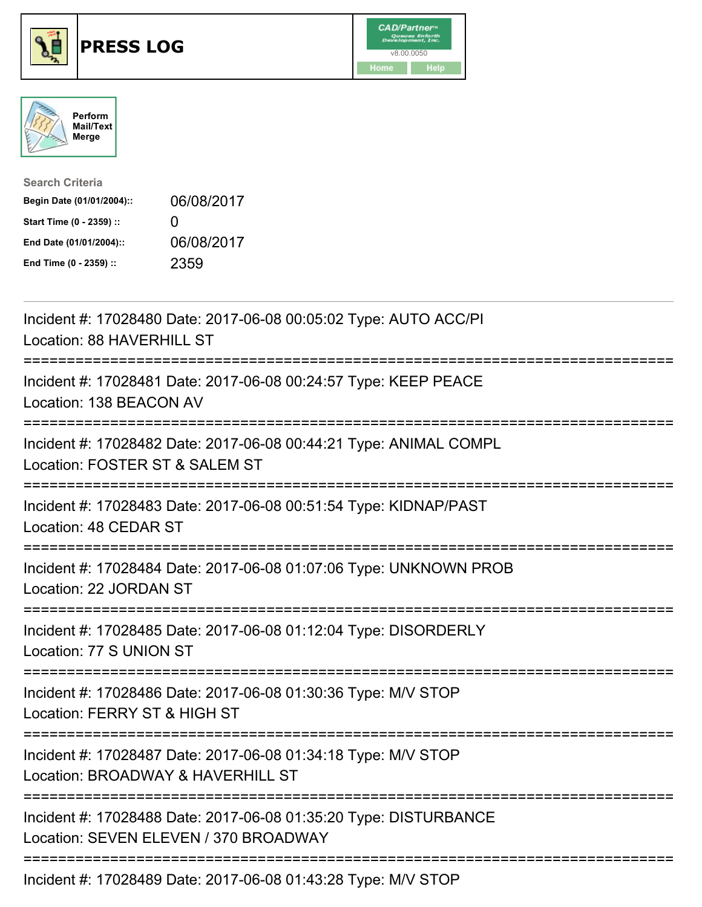





| <b>Search Criteria</b>    |                   |
|---------------------------|-------------------|
| Begin Date (01/01/2004):: | 06/08/2017        |
| Start Time (0 - 2359) ::  | $\mathbf{\Omega}$ |
| End Date (01/01/2004)::   | 06/08/2017        |
| End Time (0 - 2359) ::    | 2359              |

| Incident #: 17028480 Date: 2017-06-08 00:05:02 Type: AUTO ACC/PI<br>Location: 88 HAVERHILL ST                                          |
|----------------------------------------------------------------------------------------------------------------------------------------|
| Incident #: 17028481 Date: 2017-06-08 00:24:57 Type: KEEP PEACE<br>Location: 138 BEACON AV                                             |
| Incident #: 17028482 Date: 2017-06-08 00:44:21 Type: ANIMAL COMPL<br>Location: FOSTER ST & SALEM ST                                    |
| Incident #: 17028483 Date: 2017-06-08 00:51:54 Type: KIDNAP/PAST<br>Location: 48 CEDAR ST                                              |
| Incident #: 17028484 Date: 2017-06-08 01:07:06 Type: UNKNOWN PROB<br>Location: 22 JORDAN ST                                            |
| Incident #: 17028485 Date: 2017-06-08 01:12:04 Type: DISORDERLY<br>Location: 77 S UNION ST                                             |
| Incident #: 17028486 Date: 2017-06-08 01:30:36 Type: M/V STOP<br>Location: FERRY ST & HIGH ST                                          |
| ----------------------<br>Incident #: 17028487 Date: 2017-06-08 01:34:18 Type: M/V STOP<br>Location: BROADWAY & HAVERHILL ST           |
| ;========================<br>Incident #: 17028488 Date: 2017-06-08 01:35:20 Type: DISTURBANCE<br>Location: SEVEN ELEVEN / 370 BROADWAY |
| Incident #: 17028489 Date: 2017-06-08 01:43:28 Type: M/V STOP                                                                          |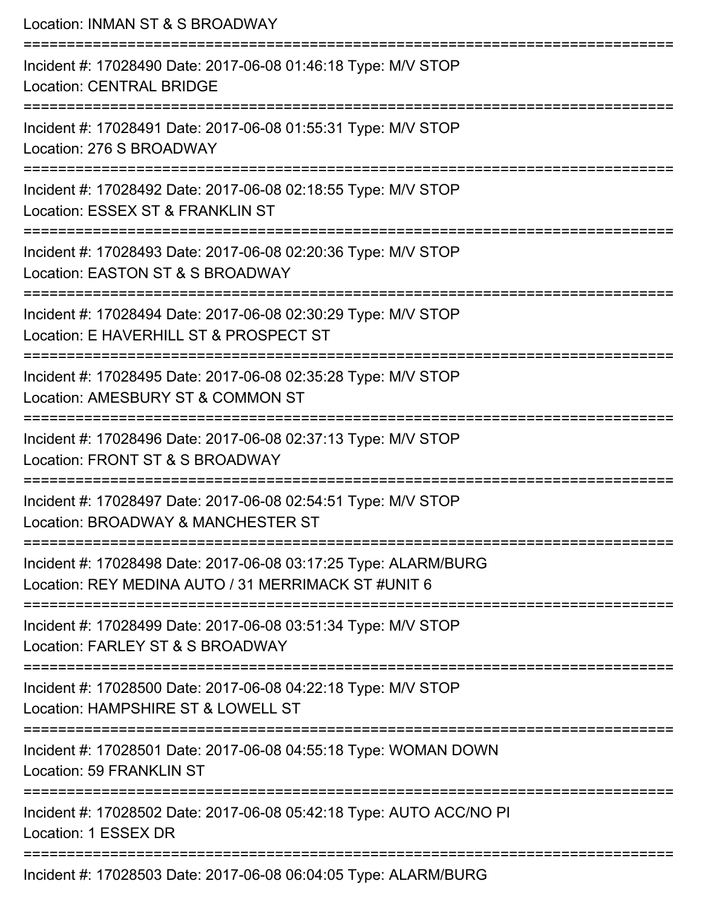| Location: INMAN ST & S BROADWAY                                                                                           |
|---------------------------------------------------------------------------------------------------------------------------|
| Incident #: 17028490 Date: 2017-06-08 01:46:18 Type: M/V STOP<br><b>Location: CENTRAL BRIDGE</b>                          |
| Incident #: 17028491 Date: 2017-06-08 01:55:31 Type: M/V STOP<br>Location: 276 S BROADWAY                                 |
| Incident #: 17028492 Date: 2017-06-08 02:18:55 Type: M/V STOP<br>Location: ESSEX ST & FRANKLIN ST                         |
| Incident #: 17028493 Date: 2017-06-08 02:20:36 Type: M/V STOP<br>Location: EASTON ST & S BROADWAY                         |
| Incident #: 17028494 Date: 2017-06-08 02:30:29 Type: M/V STOP<br>Location: E HAVERHILL ST & PROSPECT ST                   |
| ===================<br>Incident #: 17028495 Date: 2017-06-08 02:35:28 Type: M/V STOP<br>Location: AMESBURY ST & COMMON ST |
| Incident #: 17028496 Date: 2017-06-08 02:37:13 Type: M/V STOP<br>Location: FRONT ST & S BROADWAY                          |
| Incident #: 17028497 Date: 2017-06-08 02:54:51 Type: M/V STOP<br>Location: BROADWAY & MANCHESTER ST                       |
| Incident #: 17028498 Date: 2017-06-08 03:17:25 Type: ALARM/BURG<br>Location: REY MEDINA AUTO / 31 MERRIMACK ST #UNIT 6    |
| Incident #: 17028499 Date: 2017-06-08 03:51:34 Type: M/V STOP<br>Location: FARLEY ST & S BROADWAY                         |
| Incident #: 17028500 Date: 2017-06-08 04:22:18 Type: M/V STOP<br>Location: HAMPSHIRE ST & LOWELL ST                       |
| Incident #: 17028501 Date: 2017-06-08 04:55:18 Type: WOMAN DOWN<br>Location: 59 FRANKLIN ST                               |
| Incident #: 17028502 Date: 2017-06-08 05:42:18 Type: AUTO ACC/NO PI<br>Location: 1 ESSEX DR                               |
| Incident #: 17028503 Date: 2017-06-08 06:04:05 Type: ALARM/BURG                                                           |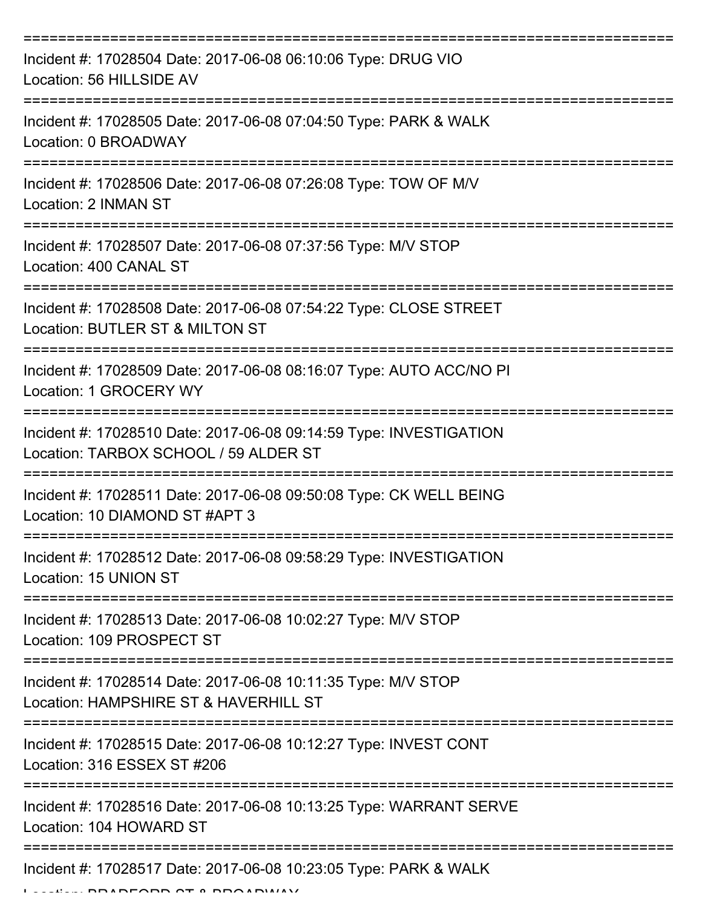| Incident #: 17028504 Date: 2017-06-08 06:10:06 Type: DRUG VIO<br>Location: 56 HILLSIDE AV                   |
|-------------------------------------------------------------------------------------------------------------|
| Incident #: 17028505 Date: 2017-06-08 07:04:50 Type: PARK & WALK<br>Location: 0 BROADWAY                    |
| Incident #: 17028506 Date: 2017-06-08 07:26:08 Type: TOW OF M/V<br>Location: 2 INMAN ST                     |
| Incident #: 17028507 Date: 2017-06-08 07:37:56 Type: M/V STOP<br>Location: 400 CANAL ST                     |
| Incident #: 17028508 Date: 2017-06-08 07:54:22 Type: CLOSE STREET<br>Location: BUTLER ST & MILTON ST        |
| Incident #: 17028509 Date: 2017-06-08 08:16:07 Type: AUTO ACC/NO PI<br>Location: 1 GROCERY WY               |
| Incident #: 17028510 Date: 2017-06-08 09:14:59 Type: INVESTIGATION<br>Location: TARBOX SCHOOL / 59 ALDER ST |
| Incident #: 17028511 Date: 2017-06-08 09:50:08 Type: CK WELL BEING<br>Location: 10 DIAMOND ST #APT 3        |
| Incident #: 17028512 Date: 2017-06-08 09:58:29 Type: INVESTIGATION<br>Location: 15 UNION ST                 |
| Incident #: 17028513 Date: 2017-06-08 10:02:27 Type: M/V STOP<br>Location: 109 PROSPECT ST                  |
| Incident #: 17028514 Date: 2017-06-08 10:11:35 Type: M/V STOP<br>Location: HAMPSHIRE ST & HAVERHILL ST      |
| Incident #: 17028515 Date: 2017-06-08 10:12:27 Type: INVEST CONT<br>Location: 316 ESSEX ST #206             |
| Incident #: 17028516 Date: 2017-06-08 10:13:25 Type: WARRANT SERVE<br>Location: 104 HOWARD ST               |
| Incident #: 17028517 Date: 2017-06-08 10:23:05 Type: PARK & WALK                                            |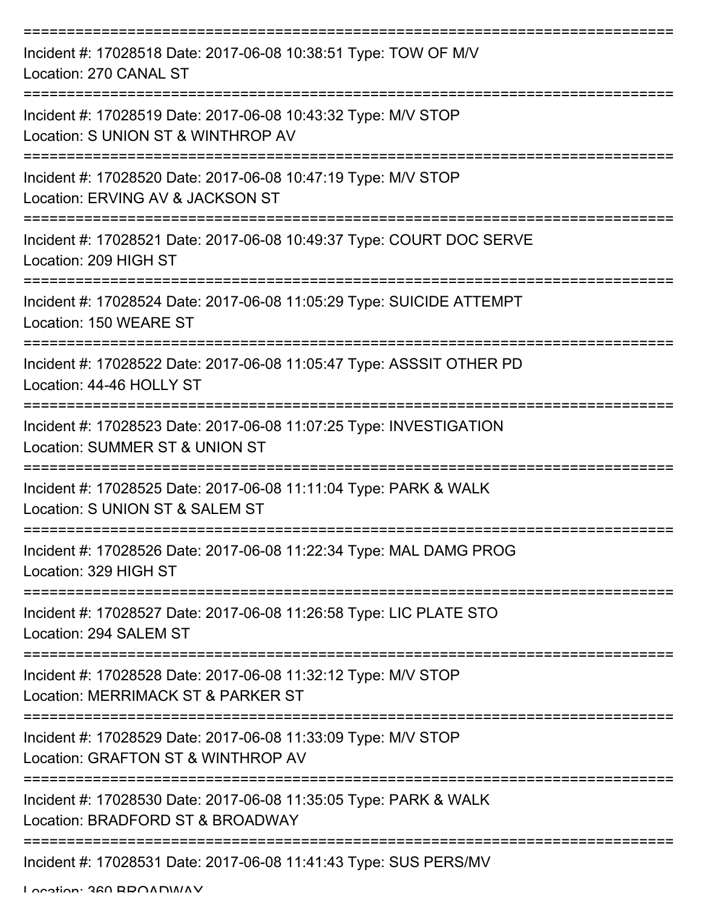| Incident #: 17028518 Date: 2017-06-08 10:38:51 Type: TOW OF M/V<br>Location: 270 CANAL ST            |
|------------------------------------------------------------------------------------------------------|
| Incident #: 17028519 Date: 2017-06-08 10:43:32 Type: M/V STOP<br>Location: S UNION ST & WINTHROP AV  |
| Incident #: 17028520 Date: 2017-06-08 10:47:19 Type: M/V STOP<br>Location: ERVING AV & JACKSON ST    |
| Incident #: 17028521 Date: 2017-06-08 10:49:37 Type: COURT DOC SERVE<br>Location: 209 HIGH ST        |
| Incident #: 17028524 Date: 2017-06-08 11:05:29 Type: SUICIDE ATTEMPT<br>Location: 150 WEARE ST       |
| Incident #: 17028522 Date: 2017-06-08 11:05:47 Type: ASSSIT OTHER PD<br>Location: 44-46 HOLLY ST     |
| Incident #: 17028523 Date: 2017-06-08 11:07:25 Type: INVESTIGATION<br>Location: SUMMER ST & UNION ST |
| Incident #: 17028525 Date: 2017-06-08 11:11:04 Type: PARK & WALK<br>Location: S UNION ST & SALEM ST  |
| Incident #: 17028526 Date: 2017-06-08 11:22:34 Type: MAL DAMG PROG<br>Location: 329 HIGH ST          |
| Incident #: 17028527 Date: 2017-06-08 11:26:58 Type: LIC PLATE STO<br>Location: 294 SALEM ST         |
| Incident #: 17028528 Date: 2017-06-08 11:32:12 Type: M/V STOP<br>Location: MERRIMACK ST & PARKER ST  |
| Incident #: 17028529 Date: 2017-06-08 11:33:09 Type: M/V STOP<br>Location: GRAFTON ST & WINTHROP AV  |
| Incident #: 17028530 Date: 2017-06-08 11:35:05 Type: PARK & WALK<br>Location: BRADFORD ST & BROADWAY |
| Incident #: 17028531 Date: 2017-06-08 11:41:43 Type: SUS PERS/MV                                     |

Location: 360 BBOADWAY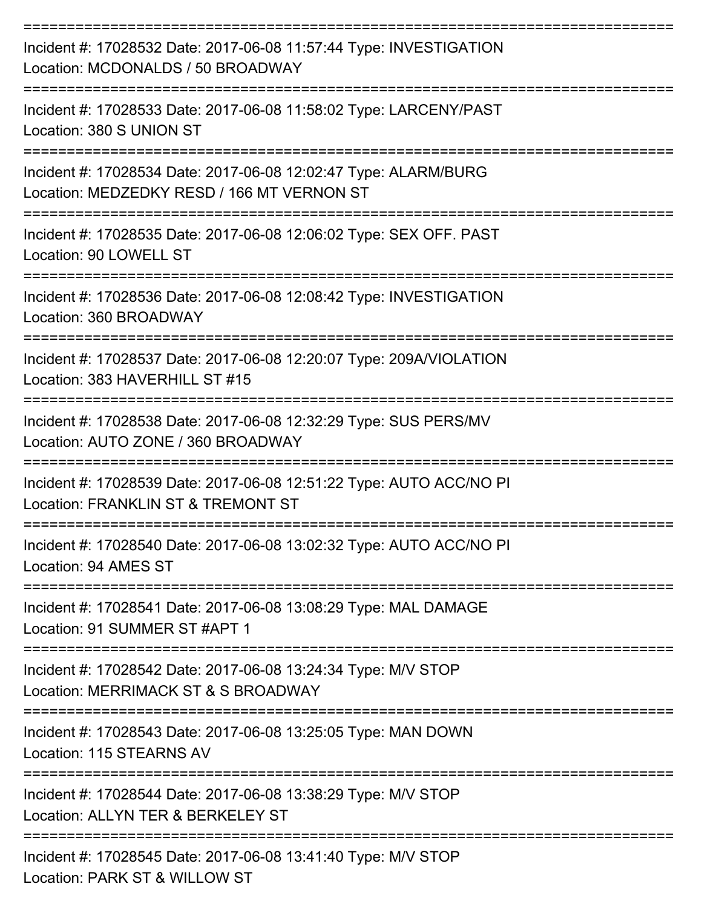| Incident #: 17028532 Date: 2017-06-08 11:57:44 Type: INVESTIGATION<br>Location: MCDONALDS / 50 BROADWAY       |
|---------------------------------------------------------------------------------------------------------------|
| Incident #: 17028533 Date: 2017-06-08 11:58:02 Type: LARCENY/PAST<br>Location: 380 S UNION ST                 |
| Incident #: 17028534 Date: 2017-06-08 12:02:47 Type: ALARM/BURG<br>Location: MEDZEDKY RESD / 166 MT VERNON ST |
| Incident #: 17028535 Date: 2017-06-08 12:06:02 Type: SEX OFF. PAST<br>Location: 90 LOWELL ST                  |
| Incident #: 17028536 Date: 2017-06-08 12:08:42 Type: INVESTIGATION<br>Location: 360 BROADWAY                  |
| Incident #: 17028537 Date: 2017-06-08 12:20:07 Type: 209A/VIOLATION<br>Location: 383 HAVERHILL ST #15         |
| Incident #: 17028538 Date: 2017-06-08 12:32:29 Type: SUS PERS/MV<br>Location: AUTO ZONE / 360 BROADWAY        |
| Incident #: 17028539 Date: 2017-06-08 12:51:22 Type: AUTO ACC/NO PI<br>Location: FRANKLIN ST & TREMONT ST     |
| Incident #: 17028540 Date: 2017-06-08 13:02:32 Type: AUTO ACC/NO PI<br>Location: 94 AMES ST                   |
| Incident #: 17028541 Date: 2017-06-08 13:08:29 Type: MAL DAMAGE<br>Location: 91 SUMMER ST #APT 1              |
| Incident #: 17028542 Date: 2017-06-08 13:24:34 Type: M/V STOP<br>Location: MERRIMACK ST & S BROADWAY          |
| Incident #: 17028543 Date: 2017-06-08 13:25:05 Type: MAN DOWN<br>Location: 115 STEARNS AV                     |
| Incident #: 17028544 Date: 2017-06-08 13:38:29 Type: M/V STOP<br>Location: ALLYN TER & BERKELEY ST            |
| Incident #: 17028545 Date: 2017-06-08 13:41:40 Type: M/V STOP<br>DADIZ OT 0 MILL OMLOT                        |

Location: PARK ST & WILLOW ST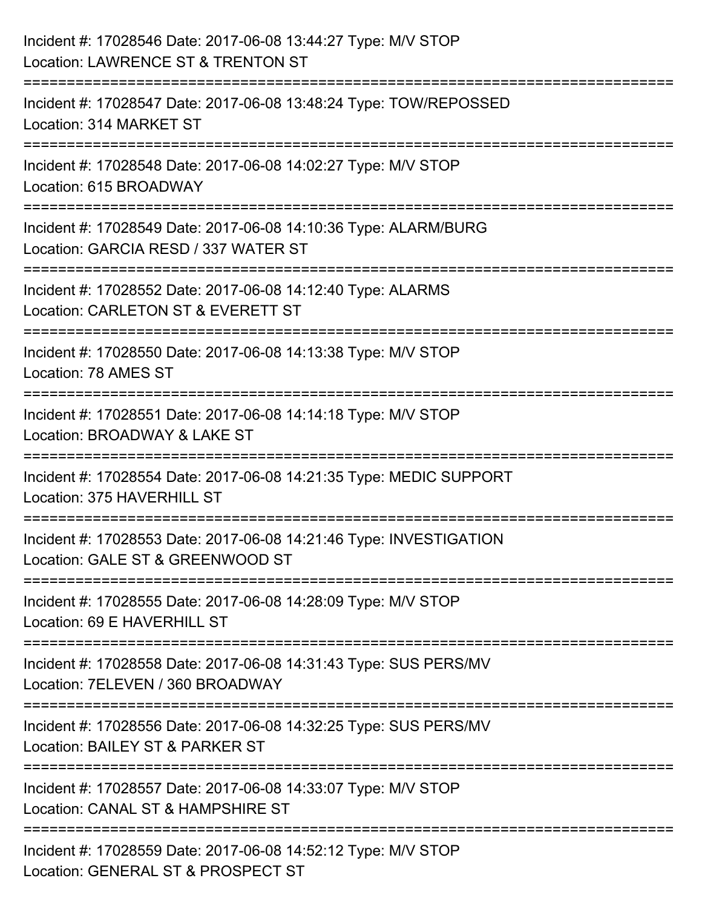| Incident #: 17028546 Date: 2017-06-08 13:44:27 Type: M/V STOP<br>Location: LAWRENCE ST & TRENTON ST                                     |
|-----------------------------------------------------------------------------------------------------------------------------------------|
| :=====================<br>Incident #: 17028547 Date: 2017-06-08 13:48:24 Type: TOW/REPOSSED<br>Location: 314 MARKET ST                  |
| Incident #: 17028548 Date: 2017-06-08 14:02:27 Type: M/V STOP<br>Location: 615 BROADWAY                                                 |
| Incident #: 17028549 Date: 2017-06-08 14:10:36 Type: ALARM/BURG<br>Location: GARCIA RESD / 337 WATER ST                                 |
| :========================<br>Incident #: 17028552 Date: 2017-06-08 14:12:40 Type: ALARMS<br>Location: CARLETON ST & EVERETT ST          |
| Incident #: 17028550 Date: 2017-06-08 14:13:38 Type: M/V STOP<br>Location: 78 AMES ST                                                   |
| Incident #: 17028551 Date: 2017-06-08 14:14:18 Type: M/V STOP<br>Location: BROADWAY & LAKE ST                                           |
| Incident #: 17028554 Date: 2017-06-08 14:21:35 Type: MEDIC SUPPORT<br>Location: 375 HAVERHILL ST                                        |
| Incident #: 17028553 Date: 2017-06-08 14:21:46 Type: INVESTIGATION<br>Location: GALE ST & GREENWOOD ST                                  |
| Incident #: 17028555 Date: 2017-06-08 14:28:09 Type: M/V STOP<br>Location: 69 E HAVERHILL ST                                            |
| Incident #: 17028558 Date: 2017-06-08 14:31:43 Type: SUS PERS/MV<br>Location: 7ELEVEN / 360 BROADWAY                                    |
| --------------------------------<br>Incident #: 17028556 Date: 2017-06-08 14:32:25 Type: SUS PERS/MV<br>Location: BAILEY ST & PARKER ST |
| Incident #: 17028557 Date: 2017-06-08 14:33:07 Type: M/V STOP<br>Location: CANAL ST & HAMPSHIRE ST                                      |
| Incident #: 17028559 Date: 2017-06-08 14:52:12 Type: M/V STOP<br>Location: GENERAL ST & PROSPECT ST                                     |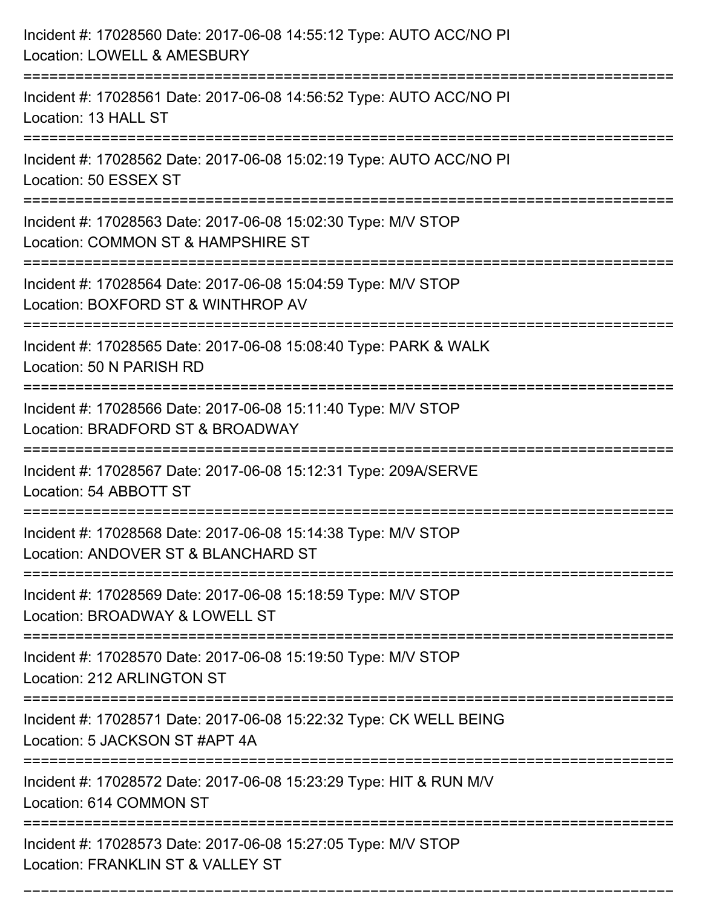| Incident #: 17028560 Date: 2017-06-08 14:55:12 Type: AUTO ACC/NO PI<br>Location: LOWELL & AMESBURY                        |
|---------------------------------------------------------------------------------------------------------------------------|
| Incident #: 17028561 Date: 2017-06-08 14:56:52 Type: AUTO ACC/NO PI<br>Location: 13 HALL ST                               |
| Incident #: 17028562 Date: 2017-06-08 15:02:19 Type: AUTO ACC/NO PI<br>Location: 50 ESSEX ST                              |
| Incident #: 17028563 Date: 2017-06-08 15:02:30 Type: M/V STOP<br>Location: COMMON ST & HAMPSHIRE ST                       |
| Incident #: 17028564 Date: 2017-06-08 15:04:59 Type: M/V STOP<br>Location: BOXFORD ST & WINTHROP AV                       |
| Incident #: 17028565 Date: 2017-06-08 15:08:40 Type: PARK & WALK<br>Location: 50 N PARISH RD                              |
| Incident #: 17028566 Date: 2017-06-08 15:11:40 Type: M/V STOP<br>Location: BRADFORD ST & BROADWAY                         |
| Incident #: 17028567 Date: 2017-06-08 15:12:31 Type: 209A/SERVE<br>Location: 54 ABBOTT ST                                 |
| Incident #: 17028568 Date: 2017-06-08 15:14:38 Type: M/V STOP<br>Location: ANDOVER ST & BLANCHARD ST                      |
| Incident #: 17028569 Date: 2017-06-08 15:18:59 Type: M/V STOP<br>Location: BROADWAY & LOWELL ST<br>====================== |
| Incident #: 17028570 Date: 2017-06-08 15:19:50 Type: M/V STOP<br>Location: 212 ARLINGTON ST                               |
| Incident #: 17028571 Date: 2017-06-08 15:22:32 Type: CK WELL BEING<br>Location: 5 JACKSON ST #APT 4A                      |
| Incident #: 17028572 Date: 2017-06-08 15:23:29 Type: HIT & RUN M/V<br>Location: 614 COMMON ST                             |
| Incident #: 17028573 Date: 2017-06-08 15:27:05 Type: M/V STOP<br>Location: FRANKLIN ST & VALLEY ST                        |

===========================================================================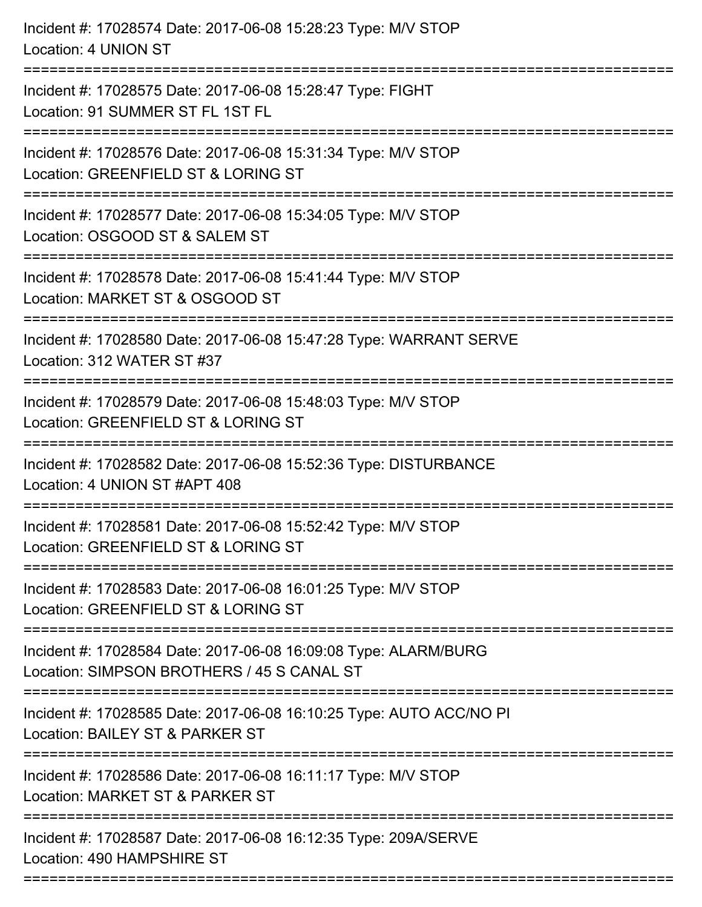| Incident #: 17028574 Date: 2017-06-08 15:28:23 Type: M/V STOP<br>Location: 4 UNION ST                                              |
|------------------------------------------------------------------------------------------------------------------------------------|
| Incident #: 17028575 Date: 2017-06-08 15:28:47 Type: FIGHT<br>Location: 91 SUMMER ST FL 1ST FL                                     |
| Incident #: 17028576 Date: 2017-06-08 15:31:34 Type: M/V STOP<br>Location: GREENFIELD ST & LORING ST<br>.----------------------    |
| Incident #: 17028577 Date: 2017-06-08 15:34:05 Type: M/V STOP<br>Location: OSGOOD ST & SALEM ST                                    |
| Incident #: 17028578 Date: 2017-06-08 15:41:44 Type: M/V STOP<br>Location: MARKET ST & OSGOOD ST                                   |
| Incident #: 17028580 Date: 2017-06-08 15:47:28 Type: WARRANT SERVE<br>Location: 312 WATER ST #37                                   |
| Incident #: 17028579 Date: 2017-06-08 15:48:03 Type: M/V STOP<br>Location: GREENFIELD ST & LORING ST                               |
| Incident #: 17028582 Date: 2017-06-08 15:52:36 Type: DISTURBANCE<br>Location: 4 UNION ST #APT 408                                  |
| Incident #: 17028581 Date: 2017-06-08 15:52:42 Type: M/V STOP<br>Location: GREENFIELD ST & LORING ST                               |
| Incident #: 17028583 Date: 2017-06-08 16:01:25 Type: M/V STOP<br>Location: GREENFIELD ST & LORING ST                               |
| Incident #: 17028584 Date: 2017-06-08 16:09:08 Type: ALARM/BURG<br>Location: SIMPSON BROTHERS / 45 S CANAL ST                      |
| ========================<br>Incident #: 17028585 Date: 2017-06-08 16:10:25 Type: AUTO ACC/NO PI<br>Location: BAILEY ST & PARKER ST |
| Incident #: 17028586 Date: 2017-06-08 16:11:17 Type: M/V STOP<br>Location: MARKET ST & PARKER ST                                   |
| Incident #: 17028587 Date: 2017-06-08 16:12:35 Type: 209A/SERVE<br>Location: 490 HAMPSHIRE ST                                      |
|                                                                                                                                    |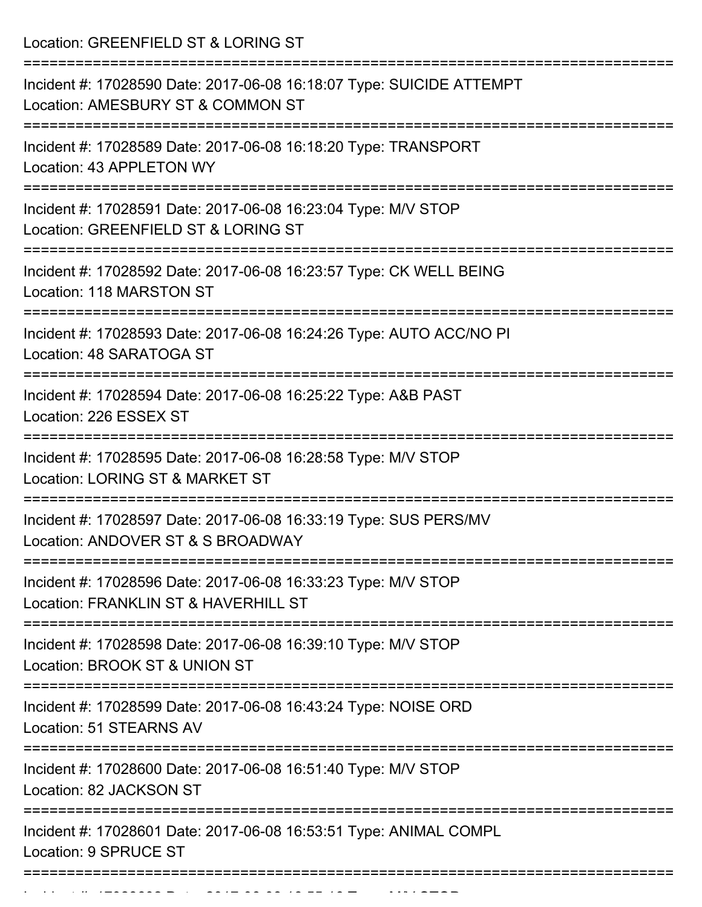Location: GREENFIELD ST & LORING ST

| Incident #: 17028590 Date: 2017-06-08 16:18:07 Type: SUICIDE ATTEMPT<br>Location: AMESBURY ST & COMMON ST |
|-----------------------------------------------------------------------------------------------------------|
| Incident #: 17028589 Date: 2017-06-08 16:18:20 Type: TRANSPORT<br>Location: 43 APPLETON WY                |
| Incident #: 17028591 Date: 2017-06-08 16:23:04 Type: M/V STOP<br>Location: GREENFIELD ST & LORING ST      |
| Incident #: 17028592 Date: 2017-06-08 16:23:57 Type: CK WELL BEING<br>Location: 118 MARSTON ST            |
| Incident #: 17028593 Date: 2017-06-08 16:24:26 Type: AUTO ACC/NO PI<br>Location: 48 SARATOGA ST           |
| Incident #: 17028594 Date: 2017-06-08 16:25:22 Type: A&B PAST<br>Location: 226 ESSEX ST                   |
| Incident #: 17028595 Date: 2017-06-08 16:28:58 Type: M/V STOP<br>Location: LORING ST & MARKET ST          |
| Incident #: 17028597 Date: 2017-06-08 16:33:19 Type: SUS PERS/MV<br>Location: ANDOVER ST & S BROADWAY     |
| Incident #: 17028596 Date: 2017-06-08 16:33:23 Type: M/V STOP<br>Location: FRANKLIN ST & HAVERHILL ST     |
| Incident #: 17028598 Date: 2017-06-08 16:39:10 Type: M/V STOP<br>Location: BROOK ST & UNION ST            |
| Incident #: 17028599 Date: 2017-06-08 16:43:24 Type: NOISE ORD<br><b>Location: 51 STEARNS AV</b>          |
| Incident #: 17028600 Date: 2017-06-08 16:51:40 Type: M/V STOP<br>Location: 82 JACKSON ST                  |
| Incident #: 17028601 Date: 2017-06-08 16:53:51 Type: ANIMAL COMPL<br>Location: 9 SPRUCE ST                |
|                                                                                                           |

Incident #: 17028602 Date: 2017 06 08 16:55:16 Type: M/V STOP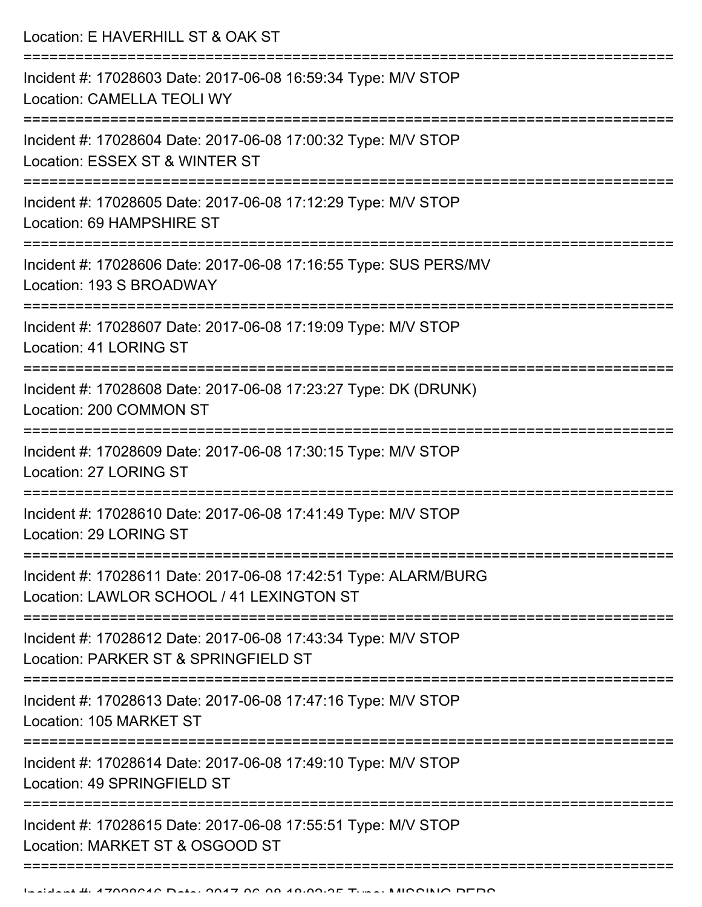Location: E HAVERHILL ST & OAK ST =========================================================================== Incident #: 17028603 Date: 2017-06-08 16:59:34 Type: M/V STOP Location: CAMELLA TEOLI WY =========================================================================== Incident #: 17028604 Date: 2017-06-08 17:00:32 Type: M/V STOP Location: ESSEX ST & WINTER ST =========================================================================== Incident #: 17028605 Date: 2017-06-08 17:12:29 Type: M/V STOP Location: 69 HAMPSHIRE ST =========================================================================== Incident #: 17028606 Date: 2017-06-08 17:16:55 Type: SUS PERS/MV Location: 193 S BROADWAY =========================================================================== Incident #: 17028607 Date: 2017-06-08 17:19:09 Type: M/V STOP Location: 41 LORING ST =========================================================================== Incident #: 17028608 Date: 2017-06-08 17:23:27 Type: DK (DRUNK) Location: 200 COMMON ST =========================================================================== Incident #: 17028609 Date: 2017-06-08 17:30:15 Type: M/V STOP Location: 27 LORING ST =========================================================================== Incident #: 17028610 Date: 2017-06-08 17:41:49 Type: M/V STOP Location: 29 LORING ST =========================================================================== Incident #: 17028611 Date: 2017-06-08 17:42:51 Type: ALARM/BURG Location: LAWLOR SCHOOL / 41 LEXINGTON ST =========================================================================== Incident #: 17028612 Date: 2017-06-08 17:43:34 Type: M/V STOP Location: PARKER ST & SPRINGFIFLD ST =========================================================================== Incident #: 17028613 Date: 2017-06-08 17:47:16 Type: M/V STOP Location: 105 MARKET ST =========================================================================== Incident #: 17028614 Date: 2017-06-08 17:49:10 Type: M/V STOP Location: 49 SPRINGFIFLD ST =========================================================================== Incident #: 17028615 Date: 2017-06-08 17:55:51 Type: M/V STOP Location: MARKET ST & OSGOOD ST

============================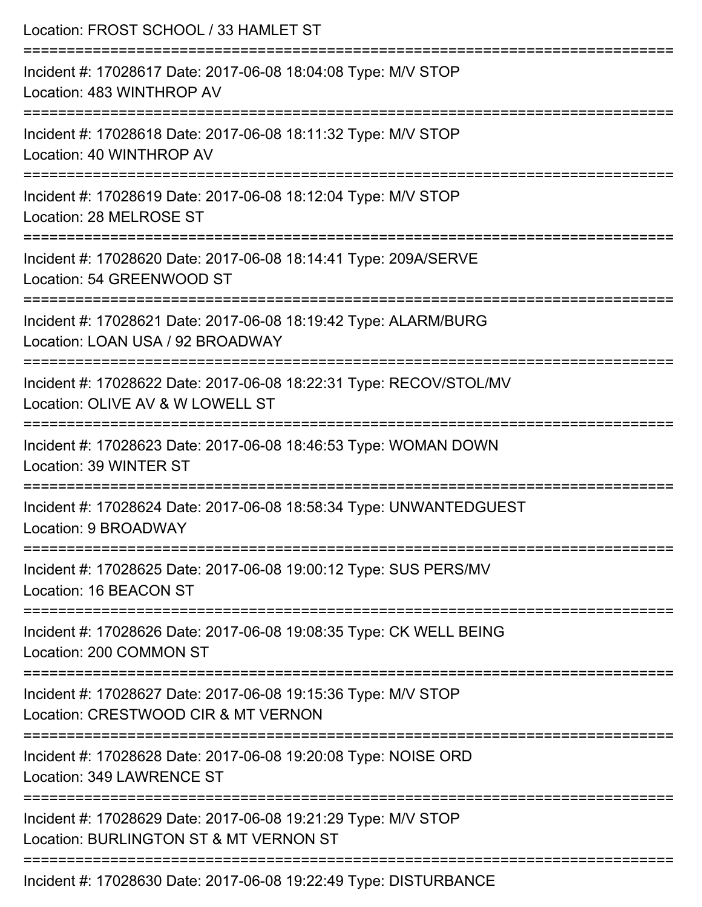| Location: FROST SCHOOL / 33 HAMLET ST                                                                                                 |
|---------------------------------------------------------------------------------------------------------------------------------------|
| Incident #: 17028617 Date: 2017-06-08 18:04:08 Type: M/V STOP<br>Location: 483 WINTHROP AV                                            |
| Incident #: 17028618 Date: 2017-06-08 18:11:32 Type: M/V STOP<br>Location: 40 WINTHROP AV                                             |
| Incident #: 17028619 Date: 2017-06-08 18:12:04 Type: M/V STOP<br>Location: 28 MELROSE ST                                              |
| :====================================<br>Incident #: 17028620 Date: 2017-06-08 18:14:41 Type: 209A/SERVE<br>Location: 54 GREENWOOD ST |
| Incident #: 17028621 Date: 2017-06-08 18:19:42 Type: ALARM/BURG<br>Location: LOAN USA / 92 BROADWAY                                   |
| ====================<br>Incident #: 17028622 Date: 2017-06-08 18:22:31 Type: RECOV/STOL/MV<br>Location: OLIVE AV & W LOWELL ST        |
| :=================<br>Incident #: 17028623 Date: 2017-06-08 18:46:53 Type: WOMAN DOWN<br>Location: 39 WINTER ST                       |
| Incident #: 17028624 Date: 2017-06-08 18:58:34 Type: UNWANTEDGUEST<br>Location: 9 BROADWAY                                            |
| Incident #: 17028625 Date: 2017-06-08 19:00:12 Type: SUS PERS/MV<br>Location: 16 BEACON ST                                            |
| Incident #: 17028626 Date: 2017-06-08 19:08:35 Type: CK WELL BEING<br>Location: 200 COMMON ST                                         |
| Incident #: 17028627 Date: 2017-06-08 19:15:36 Type: M/V STOP<br>Location: CRESTWOOD CIR & MT VERNON                                  |
| Incident #: 17028628 Date: 2017-06-08 19:20:08 Type: NOISE ORD<br>Location: 349 LAWRENCE ST                                           |
| Incident #: 17028629 Date: 2017-06-08 19:21:29 Type: M/V STOP<br>Location: BURLINGTON ST & MT VERNON ST                               |
| Incident #: 17028630 Date: 2017-06-08 19:22:49 Type: DISTURBANCE                                                                      |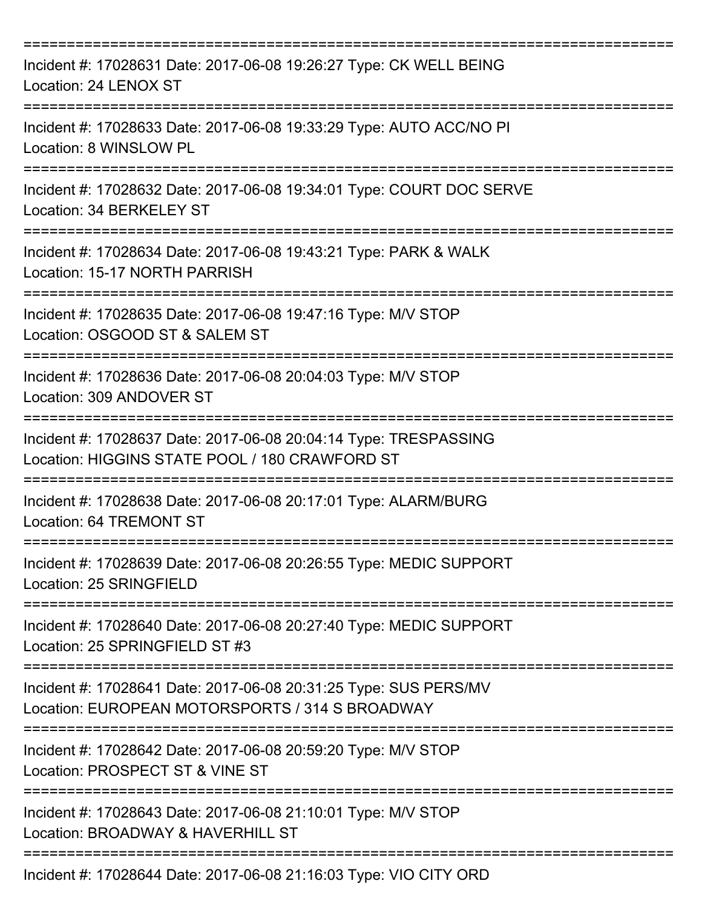| Incident #: 17028631 Date: 2017-06-08 19:26:27 Type: CK WELL BEING<br>Location: 24 LENOX ST                         |
|---------------------------------------------------------------------------------------------------------------------|
| Incident #: 17028633 Date: 2017-06-08 19:33:29 Type: AUTO ACC/NO PI<br>Location: 8 WINSLOW PL                       |
| Incident #: 17028632 Date: 2017-06-08 19:34:01 Type: COURT DOC SERVE<br>Location: 34 BERKELEY ST                    |
| Incident #: 17028634 Date: 2017-06-08 19:43:21 Type: PARK & WALK<br>Location: 15-17 NORTH PARRISH                   |
| Incident #: 17028635 Date: 2017-06-08 19:47:16 Type: M/V STOP<br>Location: OSGOOD ST & SALEM ST<br>================ |
| Incident #: 17028636 Date: 2017-06-08 20:04:03 Type: M/V STOP<br>Location: 309 ANDOVER ST                           |
| Incident #: 17028637 Date: 2017-06-08 20:04:14 Type: TRESPASSING<br>Location: HIGGINS STATE POOL / 180 CRAWFORD ST  |
| Incident #: 17028638 Date: 2017-06-08 20:17:01 Type: ALARM/BURG<br>Location: 64 TREMONT ST                          |
| Incident #: 17028639 Date: 2017-06-08 20:26:55 Type: MEDIC SUPPORT<br>Location: 25 SRINGFIELD                       |
| Incident #: 17028640 Date: 2017-06-08 20:27:40 Type: MEDIC SUPPORT<br>Location: 25 SPRINGFIELD ST #3                |
| Incident #: 17028641 Date: 2017-06-08 20:31:25 Type: SUS PERS/MV<br>Location: EUROPEAN MOTORSPORTS / 314 S BROADWAY |
| Incident #: 17028642 Date: 2017-06-08 20:59:20 Type: M/V STOP<br>Location: PROSPECT ST & VINE ST                    |
| Incident #: 17028643 Date: 2017-06-08 21:10:01 Type: M/V STOP<br>Location: BROADWAY & HAVERHILL ST                  |
| Incident #: 17028644 Date: 2017-06-08 21:16:03 Type: VIO CITY ORD                                                   |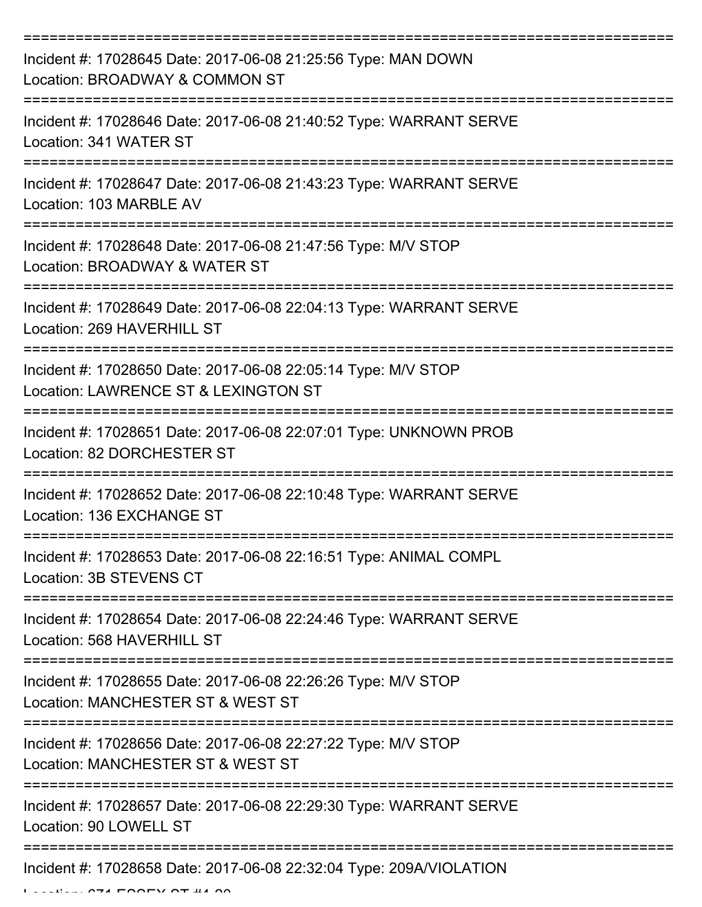| Incident #: 17028645 Date: 2017-06-08 21:25:56 Type: MAN DOWN<br>Location: BROADWAY & COMMON ST       |
|-------------------------------------------------------------------------------------------------------|
| Incident #: 17028646 Date: 2017-06-08 21:40:52 Type: WARRANT SERVE<br>Location: 341 WATER ST          |
| Incident #: 17028647 Date: 2017-06-08 21:43:23 Type: WARRANT SERVE<br>Location: 103 MARBLE AV         |
| Incident #: 17028648 Date: 2017-06-08 21:47:56 Type: M/V STOP<br>Location: BROADWAY & WATER ST        |
| Incident #: 17028649 Date: 2017-06-08 22:04:13 Type: WARRANT SERVE<br>Location: 269 HAVERHILL ST      |
| Incident #: 17028650 Date: 2017-06-08 22:05:14 Type: M/V STOP<br>Location: LAWRENCE ST & LEXINGTON ST |
| Incident #: 17028651 Date: 2017-06-08 22:07:01 Type: UNKNOWN PROB<br>Location: 82 DORCHESTER ST       |
| Incident #: 17028652 Date: 2017-06-08 22:10:48 Type: WARRANT SERVE<br>Location: 136 EXCHANGE ST       |
| Incident #: 17028653 Date: 2017-06-08 22:16:51 Type: ANIMAL COMPL<br>Location: 3B STEVENS CT          |
| Incident #: 17028654 Date: 2017-06-08 22:24:46 Type: WARRANT SERVE<br>Location: 568 HAVERHILL ST      |
| Incident #: 17028655 Date: 2017-06-08 22:26:26 Type: M/V STOP<br>Location: MANCHESTER ST & WEST ST    |
| Incident #: 17028656 Date: 2017-06-08 22:27:22 Type: M/V STOP<br>Location: MANCHESTER ST & WEST ST    |
| Incident #: 17028657 Date: 2017-06-08 22:29:30 Type: WARRANT SERVE<br>Location: 90 LOWELL ST          |
| Incident #: 17028658 Date: 2017-06-08 22:32:04 Type: 209A/VIOLATION                                   |